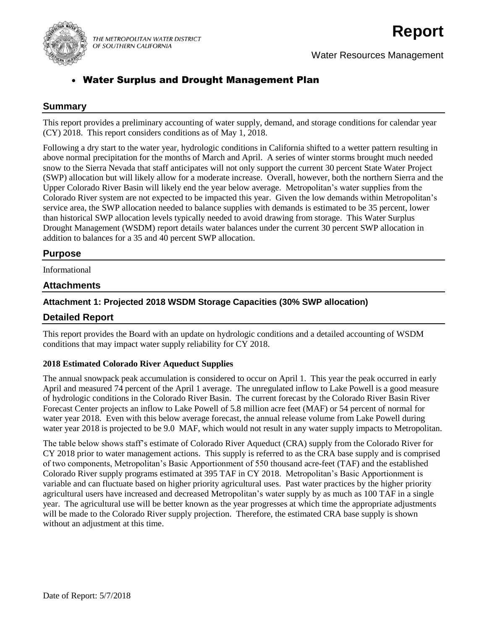

THE METROPOLITAN WATER DISTRICT OF SOUTHERN CALIFORNIA

# **Report**

Water Resources Management

## Water Surplus and Drought Management Plan

#### **Summary**

This report provides a preliminary accounting of water supply, demand, and storage conditions for calendar year (CY) 2018. This report considers conditions as of May 1, 2018.

Following a dry start to the water year, hydrologic conditions in California shifted to a wetter pattern resulting in above normal precipitation for the months of March and April. A series of winter storms brought much needed snow to the Sierra Nevada that staff anticipates will not only support the current 30 percent State Water Project (SWP) allocation but will likely allow for a moderate increase. Overall, however, both the northern Sierra and the Upper Colorado River Basin will likely end the year below average. Metropolitan's water supplies from the Colorado River system are not expected to be impacted this year. Given the low demands within Metropolitan's service area, the SWP allocation needed to balance supplies with demands is estimated to be 35 percent, lower than historical SWP allocation levels typically needed to avoid drawing from storage. This Water Surplus Drought Management (WSDM) report details water balances under the current 30 percent SWP allocation in addition to balances for a 35 and 40 percent SWP allocation.

#### **Purpose**

Informational

#### **Attachments**

#### **Attachment 1: Projected 2018 WSDM Storage Capacities (30% SWP allocation)**

#### **Detailed Report**

This report provides the Board with an update on hydrologic conditions and a detailed accounting of WSDM conditions that may impact water supply reliability for CY 2018.

#### **2018 Estimated Colorado River Aqueduct Supplies**

The annual snowpack peak accumulation is considered to occur on April 1. This year the peak occurred in early April and measured 74 percent of the April 1 average. The unregulated inflow to Lake Powell is a good measure of hydrologic conditions in the Colorado River Basin. The current forecast by the Colorado River Basin River Forecast Center projects an inflow to Lake Powell of 5.8 million acre feet (MAF) or 54 percent of normal for water year 2018. Even with this below average forecast, the annual release volume from Lake Powell during water year 2018 is projected to be 9.0 MAF, which would not result in any water supply impacts to Metropolitan.

The table below shows staff's estimate of Colorado River Aqueduct (CRA) supply from the Colorado River for CY 2018 prior to water management actions. This supply is referred to as the CRA base supply and is comprised of two components, Metropolitan's Basic Apportionment of 550 thousand acre-feet (TAF) and the established Colorado River supply programs estimated at 395 TAF in CY 2018. Metropolitan's Basic Apportionment is variable and can fluctuate based on higher priority agricultural uses. Past water practices by the higher priority agricultural users have increased and decreased Metropolitan's water supply by as much as 100 TAF in a single year. The agricultural use will be better known as the year progresses at which time the appropriate adjustments will be made to the Colorado River supply projection. Therefore, the estimated CRA base supply is shown without an adjustment at this time.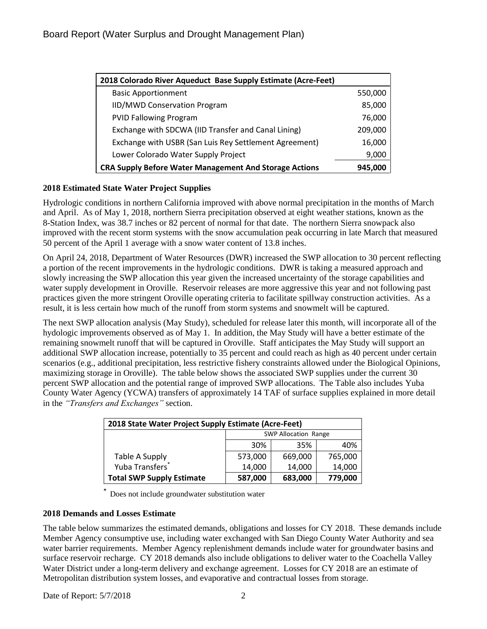| 2018 Colorado River Aqueduct Base Supply Estimate (Acre-Feet) |         |
|---------------------------------------------------------------|---------|
| <b>Basic Apportionment</b>                                    | 550,000 |
| IID/MWD Conservation Program                                  | 85,000  |
| <b>PVID Fallowing Program</b>                                 | 76,000  |
| Exchange with SDCWA (IID Transfer and Canal Lining)           | 209,000 |
| Exchange with USBR (San Luis Rey Settlement Agreement)        | 16,000  |
| Lower Colorado Water Supply Project                           | 9,000   |
| <b>CRA Supply Before Water Management And Storage Actions</b> | 945,000 |

#### **2018 Estimated State Water Project Supplies**

Hydrologic conditions in northern California improved with above normal precipitation in the months of March and April. As of May 1, 2018, northern Sierra precipitation observed at eight weather stations, known as the 8-Station Index, was 38.7 inches or 82 percent of normal for that date. The northern Sierra snowpack also improved with the recent storm systems with the snow accumulation peak occurring in late March that measured 50 percent of the April 1 average with a snow water content of 13.8 inches.

On April 24, 2018, Department of Water Resources (DWR) increased the SWP allocation to 30 percent reflecting a portion of the recent improvements in the hydrologic conditions. DWR is taking a measured approach and slowly increasing the SWP allocation this year given the increased uncertainty of the storage capabilities and water supply development in Oroville. Reservoir releases are more aggressive this year and not following past practices given the more stringent Oroville operating criteria to facilitate spillway construction activities. As a result, it is less certain how much of the runoff from storm systems and snowmelt will be captured.

The next SWP allocation analysis (May Study), scheduled for release later this month, will incorporate all of the hydologic improvements observed as of May 1. In addition, the May Study will have a better estimate of the remaining snowmelt runoff that will be captured in Oroville. Staff anticipates the May Study will support an additional SWP allocation increase, potentially to 35 percent and could reach as high as 40 percent under certain scenarios (e.g., additional precipitation, less restrictive fishery constraints allowed under the Biological Opinions, maximizing storage in Oroville). The table below shows the associated SWP supplies under the current 30 percent SWP allocation and the potential range of improved SWP allocations. The Table also includes Yuba County Water Agency (YCWA) transfers of approximately 14 TAF of surface supplies explained in more detail in the *"Transfers and Exchanges"* section.

| 2018 State Water Project Supply Estimate (Acre-Feet) |                             |         |         |
|------------------------------------------------------|-----------------------------|---------|---------|
|                                                      | <b>SWP Allocation Range</b> |         |         |
|                                                      | 30%                         | 35%     | 40%     |
| Table A Supply                                       | 573,000                     | 669,000 | 765,000 |
| Yuba Transfers <sup>*</sup>                          | 14,000                      | 14,000  | 14,000  |
| <b>Total SWP Supply Estimate</b>                     | 587,000                     | 683,000 | 779,000 |

**\*** Does not include groundwater substitution water

#### **2018 Demands and Losses Estimate**

The table below summarizes the estimated demands, obligations and losses for CY 2018. These demands include Member Agency consumptive use, including water exchanged with San Diego County Water Authority and sea water barrier requirements. Member Agency replenishment demands include water for groundwater basins and surface reservoir recharge. CY 2018 demands also include obligations to deliver water to the Coachella Valley Water District under a long-term delivery and exchange agreement. Losses for CY 2018 are an estimate of Metropolitan distribution system losses, and evaporative and contractual losses from storage.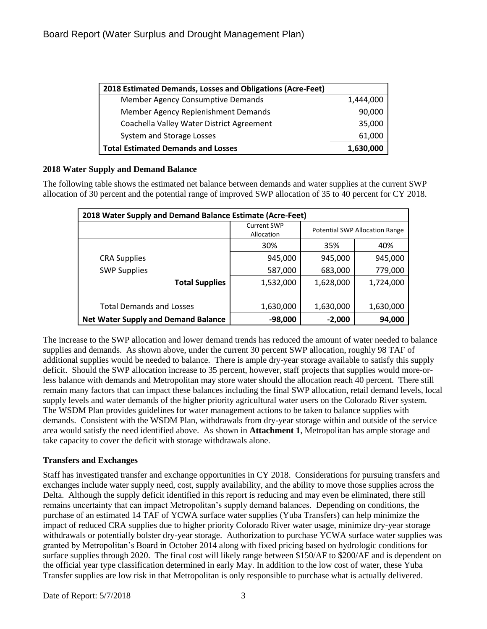| 2018 Estimated Demands, Losses and Obligations (Acre-Feet) |           |
|------------------------------------------------------------|-----------|
| Member Agency Consumptive Demands                          | 1,444,000 |
| Member Agency Replenishment Demands                        | 90,000    |
| Coachella Valley Water District Agreement                  | 35,000    |
| System and Storage Losses                                  | 61,000    |
| <b>Total Estimated Demands and Losses</b>                  | 1,630,000 |

#### **2018 Water Supply and Demand Balance**

The following table shows the estimated net balance between demands and water supplies at the current SWP allocation of 30 percent and the potential range of improved SWP allocation of 35 to 40 percent for CY 2018.

| 2018 Water Supply and Demand Balance Estimate (Acre-Feet) |                                  |                                       |           |
|-----------------------------------------------------------|----------------------------------|---------------------------------------|-----------|
|                                                           | <b>Current SWP</b><br>Allocation | <b>Potential SWP Allocation Range</b> |           |
|                                                           | 30%                              | 35%                                   | 40%       |
| <b>CRA Supplies</b>                                       | 945,000                          | 945,000                               | 945,000   |
| <b>SWP Supplies</b>                                       | 587,000                          | 683,000                               | 779,000   |
| <b>Total Supplies</b>                                     | 1,532,000                        | 1,628,000                             | 1,724,000 |
|                                                           |                                  |                                       |           |
| <b>Total Demands and Losses</b>                           | 1,630,000                        | 1,630,000                             | 1,630,000 |
| <b>Net Water Supply and Demand Balance</b>                | $-98,000$                        | $-2,000$                              | 94,000    |

The increase to the SWP allocation and lower demand trends has reduced the amount of water needed to balance supplies and demands. As shown above, under the current 30 percent SWP allocation, roughly 98 TAF of additional supplies would be needed to balance. There is ample dry-year storage available to satisfy this supply deficit. Should the SWP allocation increase to 35 percent, however, staff projects that supplies would more-orless balance with demands and Metropolitan may store water should the allocation reach 40 percent. There still remain many factors that can impact these balances including the final SWP allocation, retail demand levels, local supply levels and water demands of the higher priority agricultural water users on the Colorado River system. The WSDM Plan provides guidelines for water management actions to be taken to balance supplies with demands. Consistent with the WSDM Plan, withdrawals from dry-year storage within and outside of the service area would satisfy the need identified above. As shown in **Attachment 1**, Metropolitan has ample storage and take capacity to cover the deficit with storage withdrawals alone.

#### **Transfers and Exchanges**

Staff has investigated transfer and exchange opportunities in CY 2018. Considerations for pursuing transfers and exchanges include water supply need, cost, supply availability, and the ability to move those supplies across the Delta. Although the supply deficit identified in this report is reducing and may even be eliminated, there still remains uncertainty that can impact Metropolitan's supply demand balances. Depending on conditions, the purchase of an estimated 14 TAF of YCWA surface water supplies (Yuba Transfers) can help minimize the impact of reduced CRA supplies due to higher priority Colorado River water usage, minimize dry-year storage withdrawals or potentially bolster dry-year storage. Authorization to purchase YCWA surface water supplies was granted by Metropolitan's Board in October 2014 along with fixed pricing based on hydrologic conditions for surface supplies through 2020. The final cost will likely range between \$150/AF to \$200/AF and is dependent on the official year type classification determined in early May. In addition to the low cost of water, these Yuba Transfer supplies are low risk in that Metropolitan is only responsible to purchase what is actually delivered.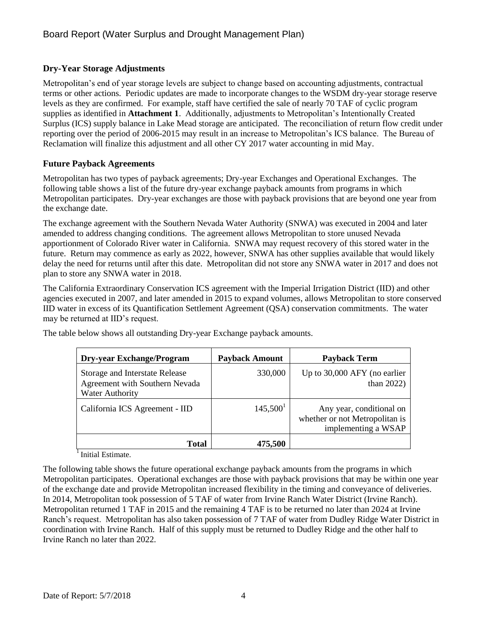## **Dry-Year Storage Adjustments**

Metropolitan's end of year storage levels are subject to change based on accounting adjustments, contractual terms or other actions. Periodic updates are made to incorporate changes to the WSDM dry-year storage reserve levels as they are confirmed. For example, staff have certified the sale of nearly 70 TAF of cyclic program supplies as identified in **Attachment 1**. Additionally, adjustments to Metropolitan's Intentionally Created Surplus (ICS) supply balance in Lake Mead storage are anticipated. The reconciliation of return flow credit under reporting over the period of 2006-2015 may result in an increase to Metropolitan's ICS balance. The Bureau of Reclamation will finalize this adjustment and all other CY 2017 water accounting in mid May.

### **Future Payback Agreements**

Metropolitan has two types of payback agreements; Dry-year Exchanges and Operational Exchanges. The following table shows a list of the future dry-year exchange payback amounts from programs in which Metropolitan participates. Dry-year exchanges are those with payback provisions that are beyond one year from the exchange date.

The exchange agreement with the Southern Nevada Water Authority (SNWA) was executed in 2004 and later amended to address changing conditions. The agreement allows Metropolitan to store unused Nevada apportionment of Colorado River water in California. SNWA may request recovery of this stored water in the future. Return may commence as early as 2022, however, SNWA has other supplies available that would likely delay the need for returns until after this date. Metropolitan did not store any SNWA water in 2017 and does not plan to store any SNWA water in 2018.

The California Extraordinary Conservation ICS agreement with the Imperial Irrigation District (IID) and other agencies executed in 2007, and later amended in 2015 to expand volumes, allows Metropolitan to store conserved IID water in excess of its Quantification Settlement Agreement (QSA) conservation commitments. The water may be returned at IID's request.

| <b>Dry-year Exchange/Program</b>                                                           | <b>Payback Amount</b> | <b>Payback Term</b>                                                               |
|--------------------------------------------------------------------------------------------|-----------------------|-----------------------------------------------------------------------------------|
| Storage and Interstate Release<br>Agreement with Southern Nevada<br><b>Water Authority</b> | 330,000               | Up to 30,000 AFY (no earlier<br>than $2022$ )                                     |
| California ICS Agreement - IID                                                             | 145,500 <sup>1</sup>  | Any year, conditional on<br>whether or not Metropolitan is<br>implementing a WSAP |
| <b>Total</b>                                                                               | 475,500               |                                                                                   |

The table below shows all outstanding Dry-year Exchange payback amounts.

 $<sup>1</sup>$  Initial Estimate.</sup>

The following table shows the future operational exchange payback amounts from the programs in which Metropolitan participates. Operational exchanges are those with payback provisions that may be within one year of the exchange date and provide Metropolitan increased flexibility in the timing and conveyance of deliveries. In 2014, Metropolitan took possession of 5 TAF of water from Irvine Ranch Water District (Irvine Ranch). Metropolitan returned 1 TAF in 2015 and the remaining 4 TAF is to be returned no later than 2024 at Irvine Ranch's request. Metropolitan has also taken possession of 7 TAF of water from Dudley Ridge Water District in coordination with Irvine Ranch. Half of this supply must be returned to Dudley Ridge and the other half to Irvine Ranch no later than 2022.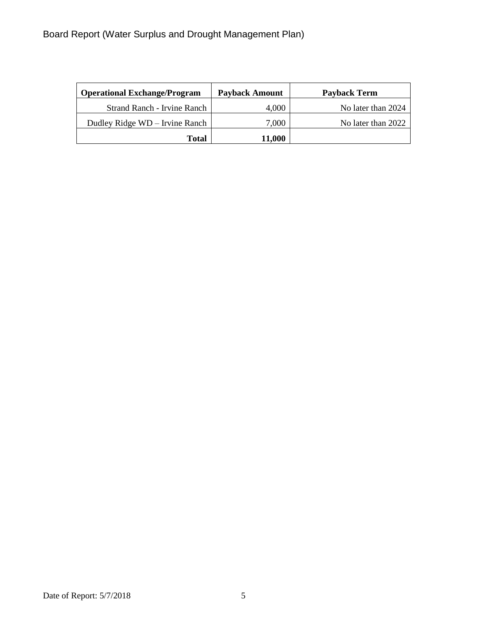| <b>Operational Exchange/Program</b> | <b>Payback Amount</b> | Payback Term       |
|-------------------------------------|-----------------------|--------------------|
| Strand Ranch - Irvine Ranch         | 4,000                 | No later than 2024 |
| Dudley Ridge WD - Irvine Ranch      | 7.000                 | No later than 2022 |
| <b>Total</b>                        | 11,000                |                    |